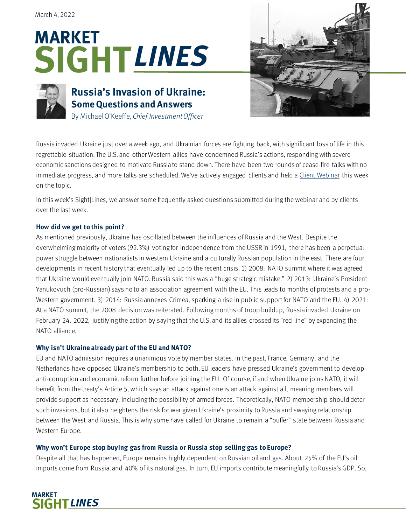# **SIGHT** *LINES***MARKET**



# **Russia's Invasion of Ukraine: Some Questions and Answers** By Michael O'Keeffe, *Chief Investment Officer*



Russia invaded Ukraine just over a week ago, and Ukrainian forces are fighting back, with significant loss of life in this regrettable situation. The U.S. and other Western allies have condemned Russia's actions, responding with severe economic sanctions designed to motivate Russia to stand down. There have been two rounds of cease-fire talks with no immediate progress, and more talks are scheduled. We've actively engaged clients and held [a Client Webinar](https://www.youtube.com/watch?v=4DguXbGNnlw) this week on the topic.

In this week's Sight|Lines, we answer some frequently asked questions submitted during the webinar and by clients over the last week.

# **How did we get to this point?**

As mentioned previously, Ukraine has oscillated between the influences of Russia and the West. Despite the overwhelming majority of voters (92.3%) voting for independence from the USSR in 1991, there has been a perpetual power struggle between nationalists in western Ukraine and a culturally Russian population in the east. There are four developments in recent history that eventually led up to the recent crisis: 1) 2008: NATO summit where it was agreed that Ukraine would eventually join NATO. Russia said this was a "huge strategic mistake." 2) 2013: Ukraine's President Yanukovuch (pro-Russian) says no to an association agreement with the EU. This leads to months of protests and a pro-Western government. 3) 2014: Russia annexes Crimea, sparking a rise in public support for NATO and the EU. 4) 2021: At a NATO summit, the 2008 decision was reiterated. Following months of troop buildup, Russia invaded Ukraine on February 24, 2022, justifying the action by saying that the U.S. and its allies crossed its "red line" by expanding the NATO alliance.

## **Why isn't Ukraine already part of the EU and NATO?**

EU and NATO admission requires a unanimous vote by member states. In the past, France, Germany, and the Netherlands have opposed Ukraine's membership to both. EU leaders have pressed Ukraine's government to develop anti-corruption and economic reform further before joining the EU. Of course, if and when Ukraine joins NATO, it will benefit from the treaty's Article 5, which says an attack against one is an attack against all, meaning members will provide support as necessary, including the possibility of armed forces. Theoretically, NATO membership should deter such invasions, but it also heightens the risk for war given Ukraine's proximity to Russia and swaying relationship between the West and Russia. This is why some have called for Ukraine to remain a "buffer" state between Russia and Western Europe.

# **Why won't Europe stop buying gas from Russia or Russia stop selling gas to Europe?**

Despite all that has happened, Europe remains highly dependent on Russian oil and gas. About 25% of the EU's oil imports come from Russia, and 40% of its natural gas. In turn, EU imports contribute meaningfully to Russia's GDP. So,

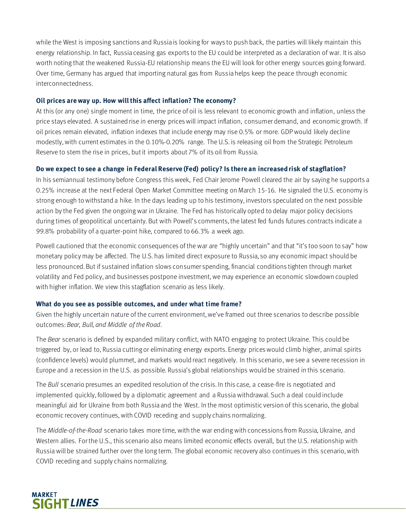while the West is imposing sanctions and Russia is looking for ways to push back, the parties will likely maintain this energy relationship. In fact, Russia ceasing gas exports to the EU could be interpreted as a declaration of war. It is also worth noting that the weakened Russia-EU relationship means the EU will look for other energy sources going forward. Over time, Germany has argued that importing natural gas from Russia helps keep the peace through economic interconnectedness.

#### **Oil prices are way up. How will this affect inflation? The economy?**

At this (or any one) single moment in time, the price of oil is less relevant to economic growth and inflation, unless the price stays elevated. A sustained rise in energy prices will impact inflation, consumer demand, and economic growth. If oil prices remain elevated, inflation indexes that include energy may rise 0.5% or more. GDP would likely decline modestly, with current estimates in the 0.10%-0.20% range. The U.S. is releasing oil from the Strategic Petroleum Reserve to stem the rise in prices, but it imports about 7% of its oil from Russia.

## **Do we expect to see a change in Federal Reserve (Fed) policy? Is there an increased risk of stagflation?**

In his semiannual testimony before Congress this week, Fed Chair Jerome Powell cleared the air by saying he supports a 0.25% increase at the next Federal Open Market Committee meeting on March 15-16. He signaled the U.S. economy is strong enough to withstand a hike. In the days leading up to his testimony, investors speculated on the next possible action by the Fed given the ongoing war in Ukraine. The Fed has historically opted to delay major policy decisions during times of geopolitical uncertainty. But with Powell's comments, the latest fed funds futures contracts indicate a 99.8% probability of a quarter-point hike, compared to 66.3% a week ago.

Powell cautioned that the economic consequences of the war are "highly uncertain" and that "it's too soon to say" how monetary policy may be affected. The U.S. has limited direct exposure to Russia, so any economic impact should be less pronounced. But if sustained inflation slows consumer spending, financial conditions tighten through market volatility and Fed policy, and businesses postpone investment, we may experience an economic slowdown coupled with higher inflation. We view this stagflation scenario as less likely.

#### **What do you see as possible outcomes, and under what time frame?**

Given the highly uncertain nature of the current environment, we've framed out three scenarios to describe possible outcomes: *Bear, Bull, and Middle of the Road*.

The *Bear* scenario is defined by expanded military conflict, with NATO engaging to protect Ukraine. This could be triggered by, or lead to, Russia cutting or eliminating energy exports. Energy prices would climb higher, animal spirits (confidence levels) would plummet, and markets would react negatively. In this scenario, we see a severe recession in Europe and a recession in the U.S. as possible. Russia's global relationships would be strained in this scenario.

The *Bull* scenario presumes an expedited resolution of the crisis. In this case, a cease-fire is negotiated and implemented quickly, followed by a diplomatic agreement and a Russia withdrawal. Such a deal could include meaningful aid for Ukraine from both Russia and the West. In the most optimistic version of this scenario, the global economic recovery continues, with COVID receding and supply chains normalizing.

The *Middle-of-the-Road* scenario takes more time, with the war ending with concessions from Russia, Ukraine, and Western allies. For the U.S., this scenario also means limited economic effects overall, but the U.S. relationship with Russia will be strained further over the long term. The global economic recovery also continues in this scenario, with COVID receding and supply chains normalizing.

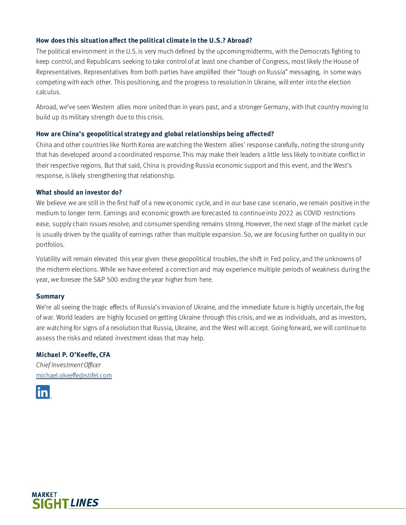#### **How does this situation affect the political climate in the U.S.? Abroad?**

The political environment in the U.S. is very much defined by the upcoming midterms, with the Democrats fighting to keep control, and Republicans seeking to take control of at least one chamber of Congress, most likely the House of Representatives. Representatives from both parties have amplified their "tough on Russia" messaging, in some ways competing with each other. This positioning, and the progress to resolution in Ukraine, will enter into the election calculus.

Abroad, we've seen Western allies more united than in years past, and a stronger Germany, with that country moving to build up its military strength due to this crisis.

#### **How are China's geopolitical strategy and global relationships being affected?**

China and other countries like North Korea are watching the Western allies' response carefully, noting the strong unity that has developed around a coordinated response. This may make their leaders a little less likely to initiate conflict in their respective regions. But that said, China is providing Russia economic support and this event, and the West's response, is likely strengthening that relationship.

#### **What should an investor do?**

We believe we are still in the first half of a new economic cycle, and in our base case scenario, we remain positive in the medium to longer term. Earnings and economic growth are forecasted to continue into 2022 as COVID restrictions ease, supply chain issues resolve, and consumer spending remains strong. However, the next stage of the market cycle is usually driven by the quality of earnings rather than multiple expansion. So, we are focusing further on quality in our portfolios.

Volatility will remain elevated this year given these geopolitical troubles, the shift in Fed policy, and the unknowns of the midterm elections. While we have entered a correction and may experience multiple periods of weakness during the year, we foresee the S&P 500 ending the year higher from here.

#### **Summary**

We're all seeing the tragic effects of Russia's invasion of Ukraine, and the immediate future is highly uncertain, the fog of war. World leaders are highly focused on getting Ukraine through this crisis, and we as individuals, and as investors, are watching for signs of a resolution that Russia, Ukraine, and the West will accept. Going forward, we will continue to assess the risks and related investment ideas that may help.

#### **Michael P. O'Keeffe, CFA**

*Chief Investment Officer* [michael.okeeffe@stifel.com](mailto:michael.okeeffe@stifel.com)